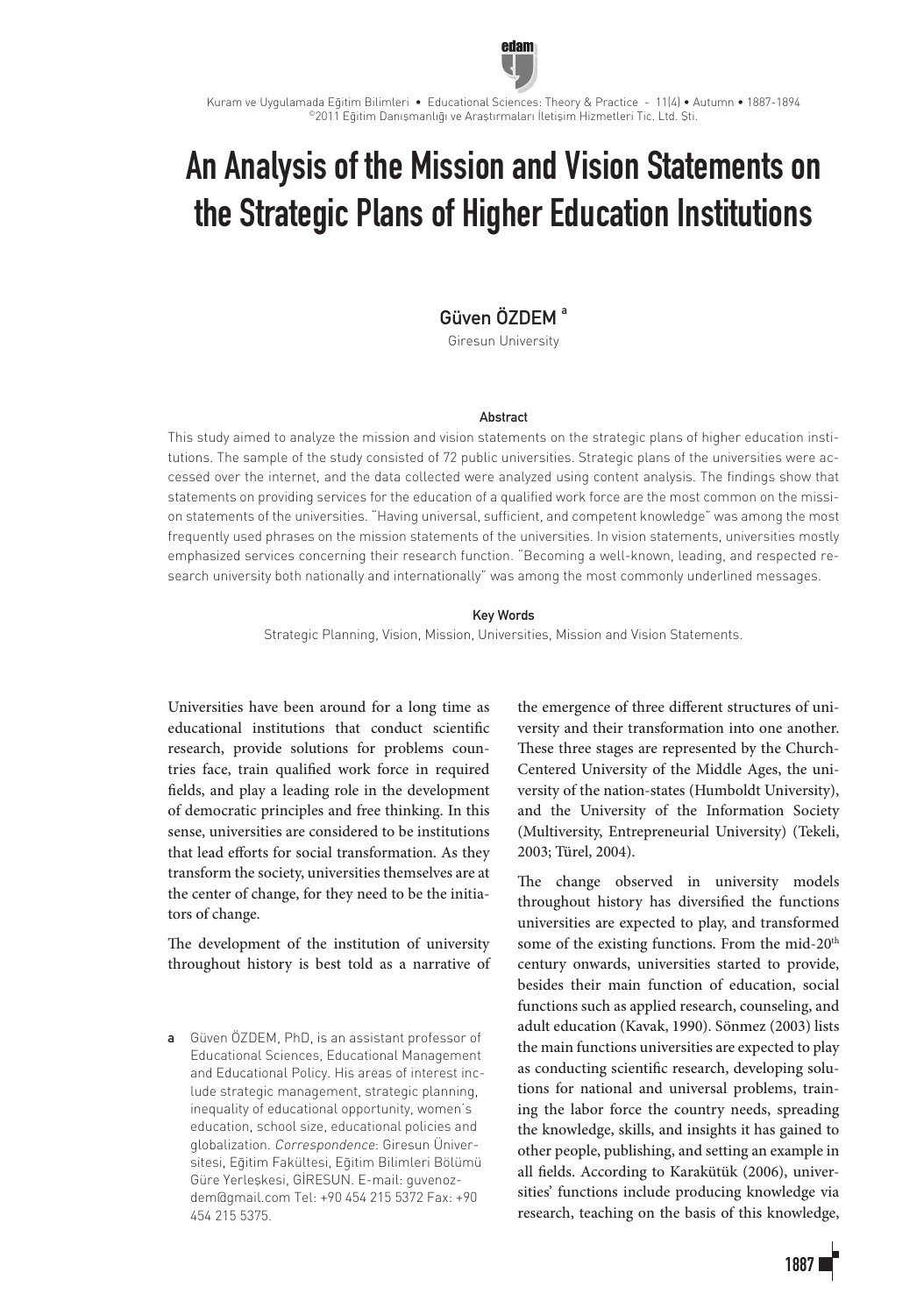

Kuram ve Uygulamada Eğitim Bilimleri • Educational Sciences: Theory & Practice - 11(4) • Autumn • 1887-1894 ©2011 Eğitim Danışmanlığı ve Araştırmaları İletişim Hizmetleri Tic. Ltd. Şti.

# An Analysis of the Mission and Vision Statements on the Strategic Plans of Higher Education Institutions

## Güven ÖZDEM<sup>a</sup>

Giresun University

## Abstract

This study aimed to analyze the mission and vision statements on the strategic plans of higher education institutions. The sample of the study consisted of 72 public universities. Strategic plans of the universities were accessed over the internet, and the data collected were analyzed using content analysis. The findings show that statements on providing services for the education of a qualified work force are the most common on the mission statements of the universities. "Having universal, sufficient, and competent knowledge" was among the most frequently used phrases on the mission statements of the universities. In vision statements, universities mostly emphasized services concerning their research function. "Becoming a well-known, leading, and respected research university both nationally and internationally" was among the most commonly underlined messages.

## Key Words

Strategic Planning, Vision, Mission, Universities, Mission and Vision Statements.

Universities have been around for a long time as educational institutions that conduct scientific research, provide solutions for problems countries face, train qualified work force in required fields, and play a leading role in the development of democratic principles and free thinking. In this sense, universities are considered to be institutions that lead efforts for social transformation. As they transform the society, universities themselves are at the center of change, for they need to be the initiators of change.

The development of the institution of university throughout history is best told as a narrative of

a Güven ÖZDEM, PhD, is an assistant professor of Educational Sciences, Educational Management and Educational Policy. His areas of interest include strategic management, strategic planning, inequality of educational opportunity, women's education, school size, educational policies and globalization. Correspondence: Giresun Üniversitesi, Eğitim Fakültesi, Eğitim Bilimleri Bölümü Güre Yerleşkesi, GİRESUN. E-mail: guvenozdem@gmail.com Tel: +90 454 215 5372 Fax: +90 454 215 5375.

the emergence of three different structures of university and their transformation into one another. These three stages are represented by the Church-Centered University of the Middle Ages, the university of the nation-states (Humboldt University), and the University of the Information Society (Multiversity, Entrepreneurial University) (Tekeli, 2003; Türel, 2004).

The change observed in university models throughout history has diversified the functions universities are expected to play, and transformed some of the existing functions. From the mid-20<sup>th</sup> century onwards, universities started to provide, besides their main function of education, social functions such as applied research, counseling, and adult education (Kavak, 1990). Sönmez (2003) lists the main functions universities are expected to play as conducting scientific research, developing solutions for national and universal problems, training the labor force the country needs, spreading the knowledge, skills, and insights it has gained to other people, publishing, and setting an example in all fields. According to Karakütük (2006), universities' functions include producing knowledge via research, teaching on the basis of this knowledge,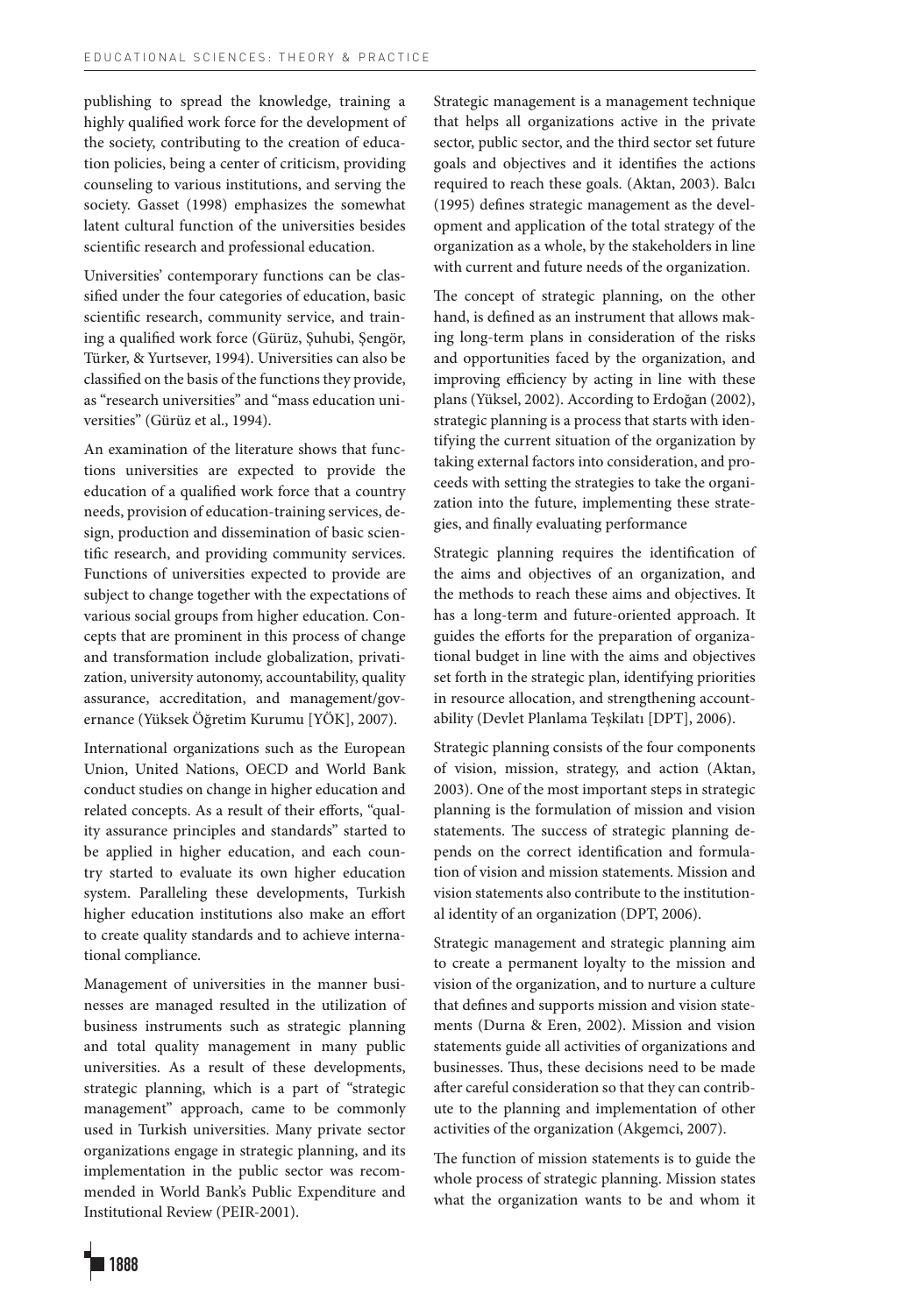publishing to spread the knowledge, training a highly qualified work force for the development of the society, contributing to the creation of education policies, being a center of criticism, providing counseling to various institutions, and serving the society. Gasset (1998) emphasizes the somewhat latent cultural function of the universities besides scientific research and professional education.

Universities' contemporary functions can be classified under the four categories of education, basic scientific research, community service, and training a qualified work force (Gürüz, Şuhubi, Şengör, Türker, & Yurtsever, 1994). Universities can also be classified on the basis of the functions they provide, as "research universities" and "mass education universities" (Gürüz et al., 1994).

An examination of the literature shows that functions universities are expected to provide the education of a qualified work force that a country needs, provision of education-training services, design, production and dissemination of basic scientific research, and providing community services. Functions of universities expected to provide are subject to change together with the expectations of various social groups from higher education. Concepts that are prominent in this process of change and transformation include globalization, privatization, university autonomy, accountability, quality assurance, accreditation, and management/governance (Yüksek Öğretim Kurumu [YÖK], 2007).

International organizations such as the European Union, United Nations, OECD and World Bank conduct studies on change in higher education and related concepts. As a result of their efforts, "quality assurance principles and standards" started to be applied in higher education, and each country started to evaluate its own higher education system. Paralleling these developments, Turkish higher education institutions also make an effort to create quality standards and to achieve international compliance.

Management of universities in the manner businesses are managed resulted in the utilization of business instruments such as strategic planning and total quality management in many public universities. As a result of these developments, strategic planning, which is a part of "strategic management" approach, came to be commonly used in Turkish universities. Many private sector organizations engage in strategic planning, and its implementation in the public sector was recommended in World Bank's Public Expenditure and Institutional Review (PEIR-2001).

Strategic management is a management technique that helps all organizations active in the private sector, public sector, and the third sector set future goals and objectives and it identifies the actions required to reach these goals. (Aktan, 2003). Balcı (1995) defines strategic management as the development and application of the total strategy of the organization as a whole, by the stakeholders in line with current and future needs of the organization.

The concept of strategic planning, on the other hand, is defined as an instrument that allows making long-term plans in consideration of the risks and opportunities faced by the organization, and improving efficiency by acting in line with these plans (Yüksel, 2002). According to Erdoğan (2002), strategic planning is a process that starts with identifying the current situation of the organization by taking external factors into consideration, and proceeds with setting the strategies to take the organization into the future, implementing these strategies, and finally evaluating performance

Strategic planning requires the identification of the aims and objectives of an organization, and the methods to reach these aims and objectives. It has a long-term and future-oriented approach. It guides the efforts for the preparation of organizational budget in line with the aims and objectives set forth in the strategic plan, identifying priorities in resource allocation, and strengthening accountability (Devlet Planlama Teşkilatı [DPT], 2006).

Strategic planning consists of the four components of vision, mission, strategy, and action (Aktan, 2003). One of the most important steps in strategic planning is the formulation of mission and vision statements. The success of strategic planning depends on the correct identification and formulation of vision and mission statements. Mission and vision statements also contribute to the institutional identity of an organization (DPT, 2006).

Strategic management and strategic planning aim to create a permanent loyalty to the mission and vision of the organization, and to nurture a culture that defines and supports mission and vision statements (Durna & Eren, 2002). Mission and vision statements guide all activities of organizations and businesses. Thus, these decisions need to be made after careful consideration so that they can contribute to the planning and implementation of other activities of the organization (Akgemci, 2007).

The function of mission statements is to guide the whole process of strategic planning. Mission states what the organization wants to be and whom it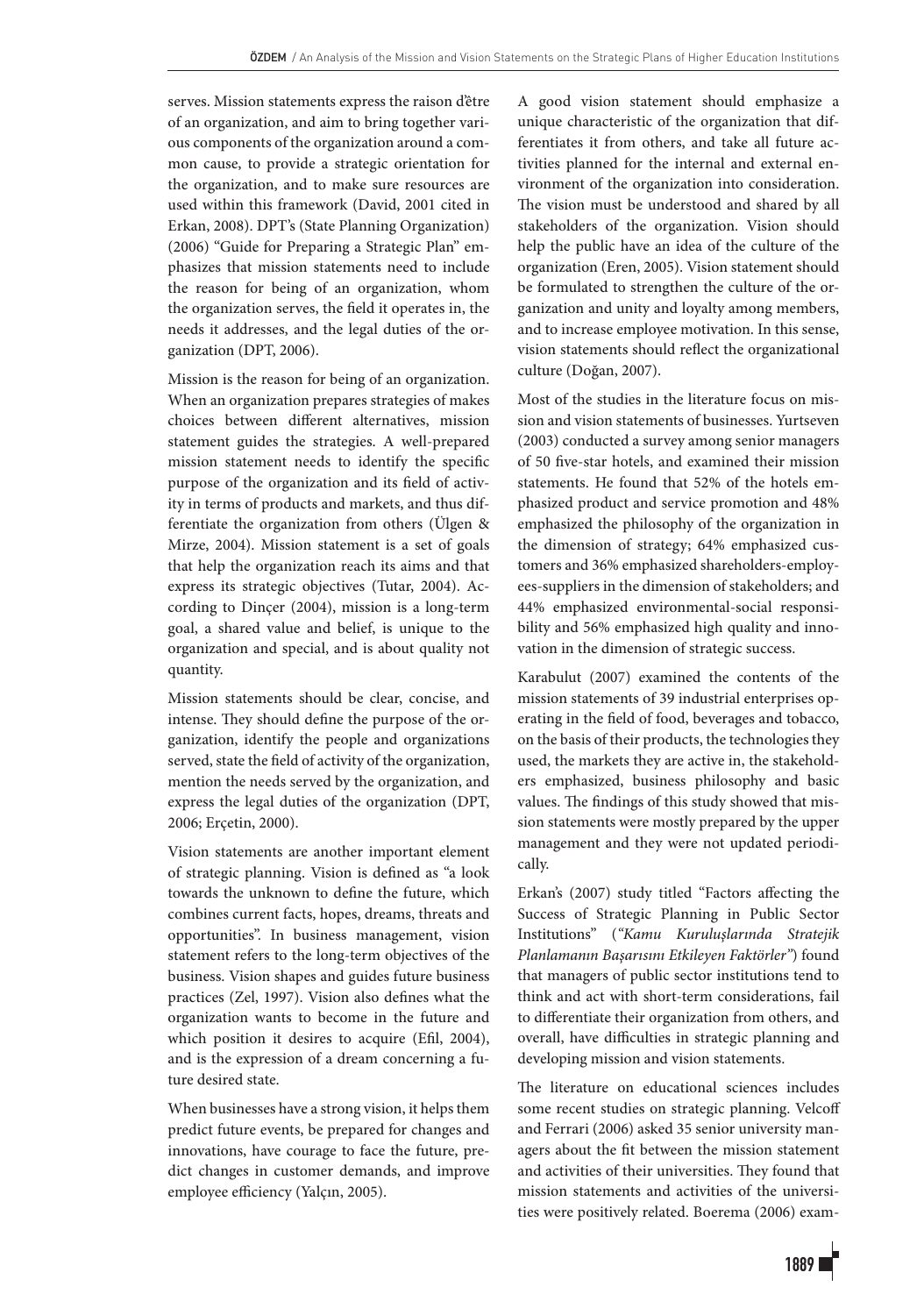serves. Mission statements express the raison d'être of an organization, and aim to bring together various components of the organization around a common cause, to provide a strategic orientation for the organization, and to make sure resources are used within this framework (David, 2001 cited in Erkan, 2008). DPT's (State Planning Organization) (2006) "Guide for Preparing a Strategic Plan" emphasizes that mission statements need to include the reason for being of an organization, whom the organization serves, the field it operates in, the needs it addresses, and the legal duties of the organization (DPT, 2006).

Mission is the reason for being of an organization. When an organization prepares strategies of makes choices between different alternatives, mission statement guides the strategies. A well-prepared mission statement needs to identify the specific purpose of the organization and its field of activity in terms of products and markets, and thus differentiate the organization from others (Ülgen & Mirze, 2004). Mission statement is a set of goals that help the organization reach its aims and that express its strategic objectives (Tutar, 2004). According to Dinçer (2004), mission is a long-term goal, a shared value and belief, is unique to the organization and special, and is about quality not quantity.

Mission statements should be clear, concise, and intense. They should define the purpose of the organization, identify the people and organizations served, state the field of activity of the organization, mention the needs served by the organization, and express the legal duties of the organization (DPT, 2006; Erçetin, 2000).

Vision statements are another important element of strategic planning. Vision is defined as "a look towards the unknown to define the future, which combines current facts, hopes, dreams, threats and opportunities". In business management, vision statement refers to the long-term objectives of the business. Vision shapes and guides future business practices (Zel, 1997). Vision also defines what the organization wants to become in the future and which position it desires to acquire (Efil, 2004), and is the expression of a dream concerning a future desired state.

When businesses have a strong vision, it helps them predict future events, be prepared for changes and innovations, have courage to face the future, predict changes in customer demands, and improve employee efficiency (Yalçın, 2005).

A good vision statement should emphasize a unique characteristic of the organization that differentiates it from others, and take all future activities planned for the internal and external environment of the organization into consideration. The vision must be understood and shared by all stakeholders of the organization. Vision should help the public have an idea of the culture of the organization (Eren, 2005). Vision statement should be formulated to strengthen the culture of the organization and unity and loyalty among members, and to increase employee motivation. In this sense, vision statements should reflect the organizational culture (Doğan, 2007).

Most of the studies in the literature focus on mission and vision statements of businesses. Yurtseven (2003) conducted a survey among senior managers of 50 five-star hotels, and examined their mission statements. He found that 52% of the hotels emphasized product and service promotion and 48% emphasized the philosophy of the organization in the dimension of strategy; 64% emphasized customers and 36% emphasized shareholders-employees-suppliers in the dimension of stakeholders; and 44% emphasized environmental-social responsibility and 56% emphasized high quality and innovation in the dimension of strategic success.

Karabulut (2007) examined the contents of the mission statements of 39 industrial enterprises operating in the field of food, beverages and tobacco, on the basis of their products, the technologies they used, the markets they are active in, the stakeholders emphasized, business philosophy and basic values. The findings of this study showed that mission statements were mostly prepared by the upper management and they were not updated periodically.

Erkan's (2007) study titled "Factors affecting the Success of Strategic Planning in Public Sector Institutions" (*"Kamu Kuruluşlarında Stratejik Planlamanın Başarısını Etkileyen Faktörler"*) found that managers of public sector institutions tend to think and act with short-term considerations, fail to differentiate their organization from others, and overall, have difficulties in strategic planning and developing mission and vision statements.

The literature on educational sciences includes some recent studies on strategic planning. Velcoff and Ferrari (2006) asked 35 senior university managers about the fit between the mission statement and activities of their universities. They found that mission statements and activities of the universities were positively related. Boerema (2006) exam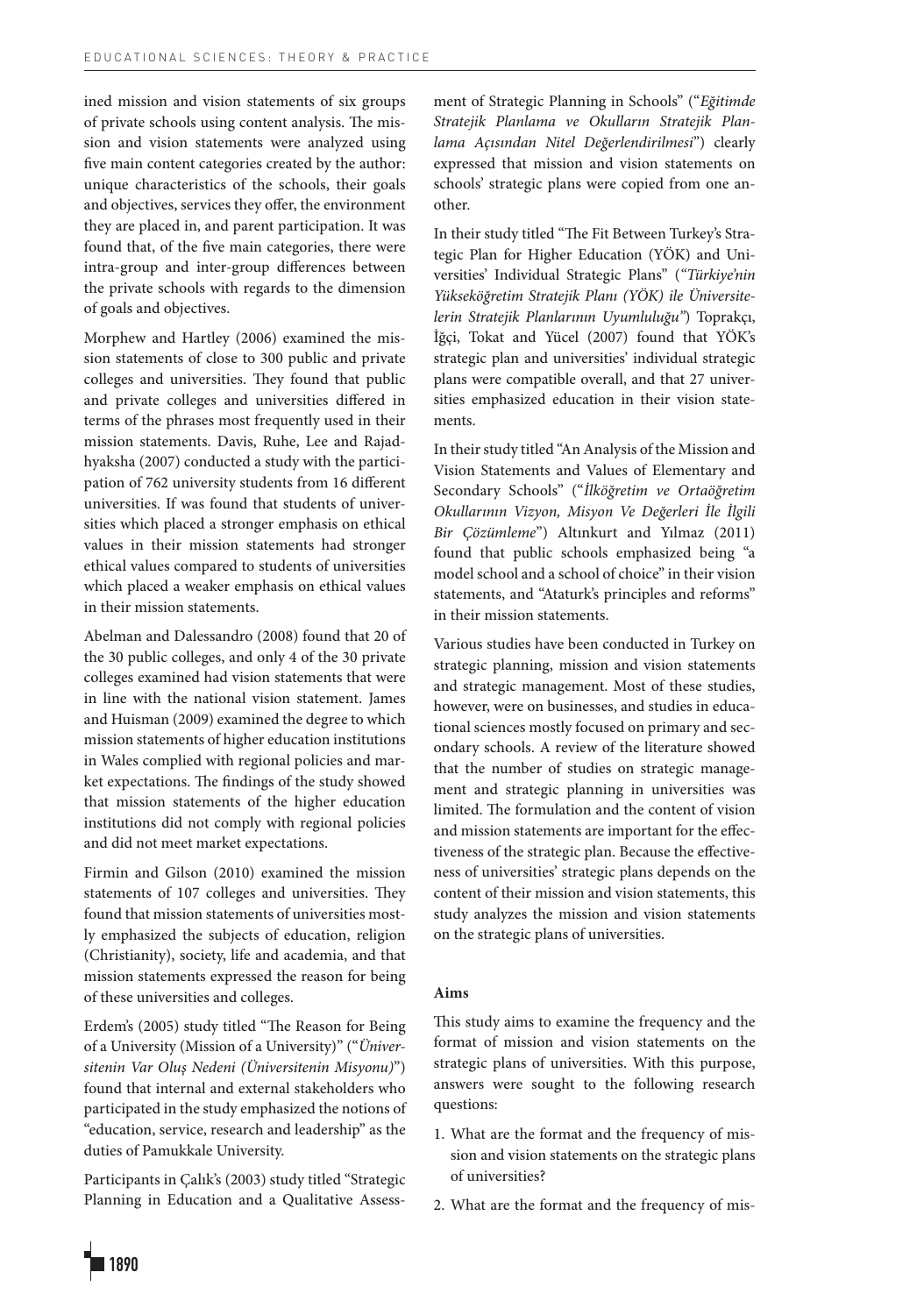ined mission and vision statements of six groups of private schools using content analysis. The mission and vision statements were analyzed using five main content categories created by the author: unique characteristics of the schools, their goals and objectives, services they offer, the environment they are placed in, and parent participation. It was found that, of the five main categories, there were intra-group and inter-group differences between the private schools with regards to the dimension of goals and objectives.

Morphew and Hartley (2006) examined the mission statements of close to 300 public and private colleges and universities. They found that public and private colleges and universities differed in terms of the phrases most frequently used in their mission statements. Davis, Ruhe, Lee and Rajadhyaksha (2007) conducted a study with the participation of 762 university students from 16 different universities. If was found that students of universities which placed a stronger emphasis on ethical values in their mission statements had stronger ethical values compared to students of universities which placed a weaker emphasis on ethical values in their mission statements.

Abelman and Dalessandro (2008) found that 20 of the 30 public colleges, and only 4 of the 30 private colleges examined had vision statements that were in line with the national vision statement. James and Huisman (2009) examined the degree to which mission statements of higher education institutions in Wales complied with regional policies and market expectations. The findings of the study showed that mission statements of the higher education institutions did not comply with regional policies and did not meet market expectations.

Firmin and Gilson (2010) examined the mission statements of 107 colleges and universities. They found that mission statements of universities mostly emphasized the subjects of education, religion (Christianity), society, life and academia, and that mission statements expressed the reason for being of these universities and colleges.

Erdem's (2005) study titled "The Reason for Being of a University (Mission of a University)" ("*Üniversitenin Var Oluş Nedeni (Üniversitenin Misyonu)*") found that internal and external stakeholders who participated in the study emphasized the notions of "education, service, research and leadership" as the duties of Pamukkale University.

Participants in Çalık's (2003) study titled "Strategic Planning in Education and a Qualitative Assessment of Strategic Planning in Schools" ("*Eğitimde Stratejik Planlama ve Okulların Stratejik Planlama Açısından Nitel Değerlendirilmesi*") clearly expressed that mission and vision statements on schools' strategic plans were copied from one another.

In their study titled "The Fit Between Turkey's Strategic Plan for Higher Education (YÖK) and Universities' Individual Strategic Plans" (*"Türkiye'nin Yükseköğretim Stratejik Planı (YÖK) ile Üniversitelerin Stratejik Planlarının Uyumluluğu"*) Toprakçı, İğçi, Tokat and Yücel (2007) found that YÖK's strategic plan and universities' individual strategic plans were compatible overall, and that 27 universities emphasized education in their vision statements.

In their study titled "An Analysis of the Mission and Vision Statements and Values of Elementary and Secondary Schools" ("*İlköğretim ve Ortaöğretim Okullarının Vizyon, Misyon Ve Değerleri İle İlgili Bir Çözümleme*") Altınkurt and Yılmaz (2011) found that public schools emphasized being "a model school and a school of choice" in their vision statements, and "Ataturk's principles and reforms" in their mission statements.

Various studies have been conducted in Turkey on strategic planning, mission and vision statements and strategic management. Most of these studies, however, were on businesses, and studies in educational sciences mostly focused on primary and secondary schools. A review of the literature showed that the number of studies on strategic management and strategic planning in universities was limited. The formulation and the content of vision and mission statements are important for the effectiveness of the strategic plan. Because the effectiveness of universities' strategic plans depends on the content of their mission and vision statements, this study analyzes the mission and vision statements on the strategic plans of universities.

## **Aims**

This study aims to examine the frequency and the format of mission and vision statements on the strategic plans of universities. With this purpose, answers were sought to the following research questions:

- 1. What are the format and the frequency of mission and vision statements on the strategic plans of universities?
- 2. What are the format and the frequency of mis-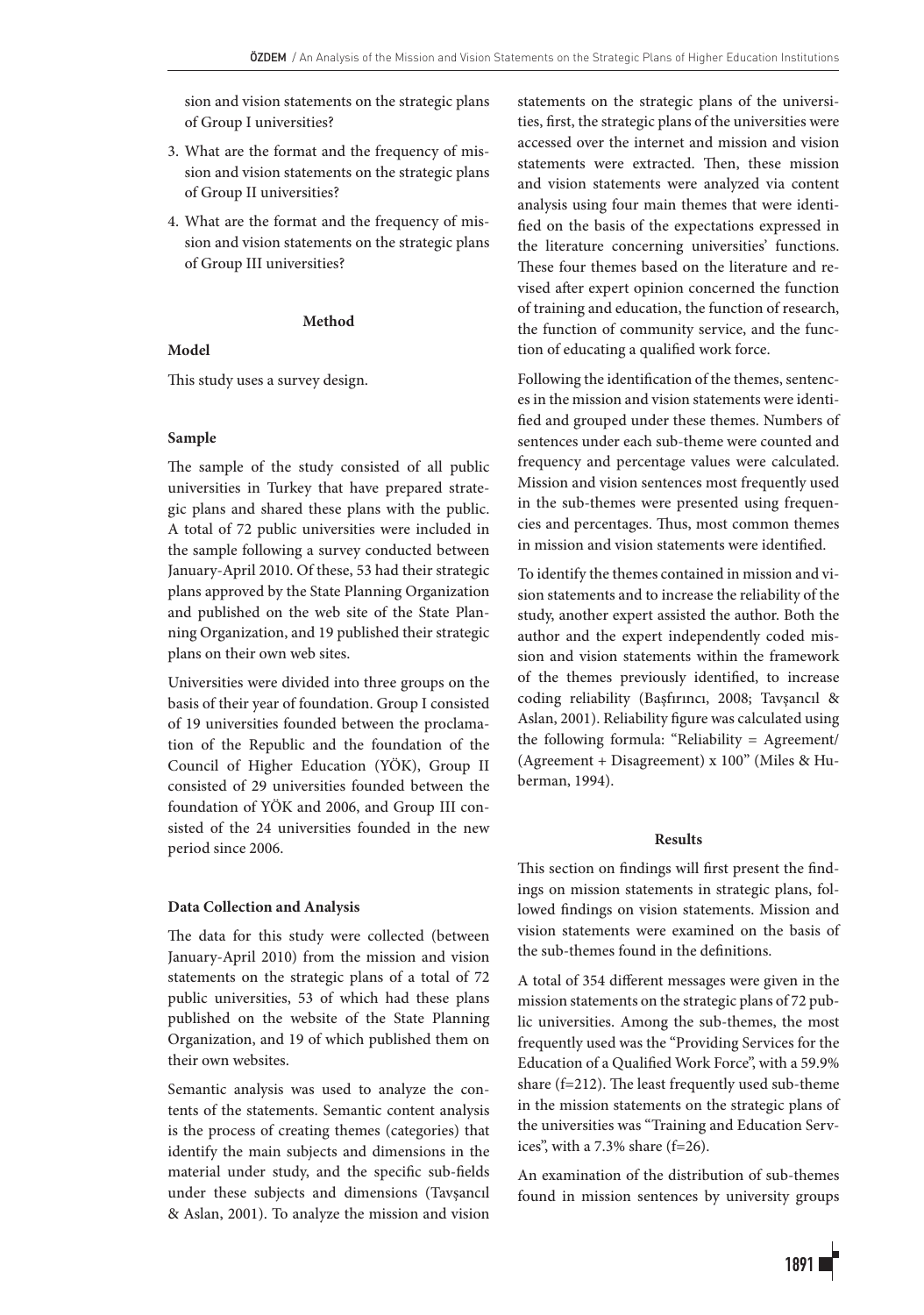sion and vision statements on the strategic plans of Group I universities?

- 3. What are the format and the frequency of mission and vision statements on the strategic plans of Group II universities?
- 4. What are the format and the frequency of mission and vision statements on the strategic plans of Group III universities?

## **Method**

## **Model**

This study uses a survey design.

## **Sample**

The sample of the study consisted of all public universities in Turkey that have prepared strategic plans and shared these plans with the public. A total of 72 public universities were included in the sample following a survey conducted between January-April 2010. Of these, 53 had their strategic plans approved by the State Planning Organization and published on the web site of the State Planning Organization, and 19 published their strategic plans on their own web sites.

Universities were divided into three groups on the basis of their year of foundation. Group I consisted of 19 universities founded between the proclamation of the Republic and the foundation of the Council of Higher Education (YÖK), Group II consisted of 29 universities founded between the foundation of YÖK and 2006, and Group III consisted of the 24 universities founded in the new period since 2006.

## **Data Collection and Analysis**

The data for this study were collected (between January-April 2010) from the mission and vision statements on the strategic plans of a total of 72 public universities, 53 of which had these plans published on the website of the State Planning Organization, and 19 of which published them on their own websites.

Semantic analysis was used to analyze the contents of the statements. Semantic content analysis is the process of creating themes (categories) that identify the main subjects and dimensions in the material under study, and the specific sub-fields under these subjects and dimensions (Tavşancıl & Aslan, 2001). To analyze the mission and vision statements on the strategic plans of the universities, first, the strategic plans of the universities were accessed over the internet and mission and vision statements were extracted. Then, these mission and vision statements were analyzed via content analysis using four main themes that were identified on the basis of the expectations expressed in the literature concerning universities' functions. These four themes based on the literature and revised after expert opinion concerned the function of training and education, the function of research, the function of community service, and the function of educating a qualified work force.

Following the identification of the themes, sentences in the mission and vision statements were identified and grouped under these themes. Numbers of sentences under each sub-theme were counted and frequency and percentage values were calculated. Mission and vision sentences most frequently used in the sub-themes were presented using frequencies and percentages. Thus, most common themes in mission and vision statements were identified.

To identify the themes contained in mission and vision statements and to increase the reliability of the study, another expert assisted the author. Both the author and the expert independently coded mission and vision statements within the framework of the themes previously identified, to increase coding reliability (Başfırıncı, 2008; Tavşancıl & Aslan, 2001). Reliability figure was calculated using the following formula: "Reliability = Agreement/ (Agreement + Disagreement) x 100" (Miles & Huberman, 1994).

#### **Results**

This section on findings will first present the findings on mission statements in strategic plans, followed findings on vision statements. Mission and vision statements were examined on the basis of the sub-themes found in the definitions.

A total of 354 different messages were given in the mission statements on the strategic plans of 72 public universities. Among the sub-themes, the most frequently used was the "Providing Services for the Education of a Qualified Work Force", with a 59.9% share (f=212). The least frequently used sub-theme in the mission statements on the strategic plans of the universities was "Training and Education Services", with a 7.3% share (f=26).

An examination of the distribution of sub-themes found in mission sentences by university groups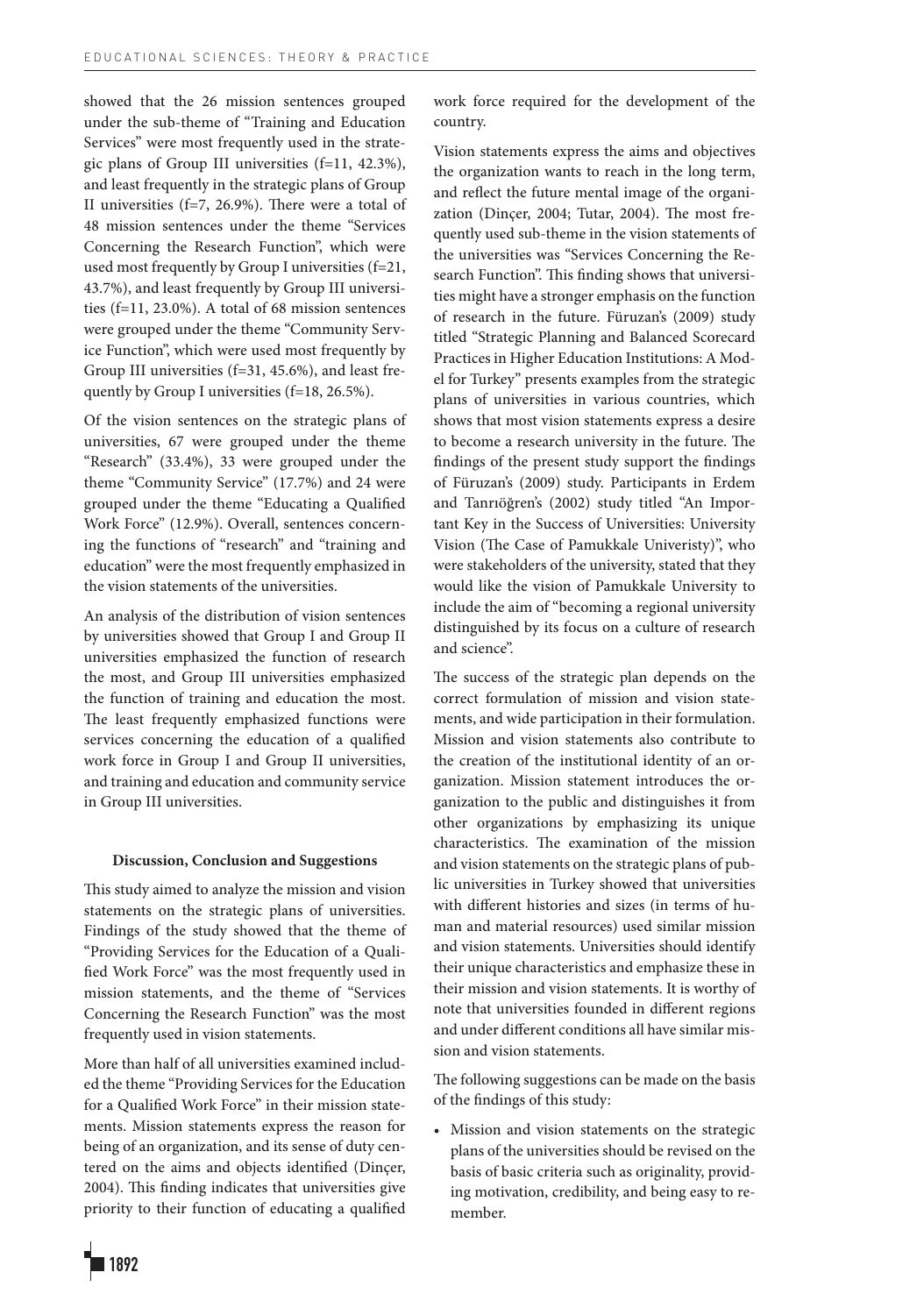showed that the 26 mission sentences grouped under the sub-theme of "Training and Education Services" were most frequently used in the strategic plans of Group III universities (f=11, 42.3%), and least frequently in the strategic plans of Group II universities (f=7, 26.9%). There were a total of 48 mission sentences under the theme "Services Concerning the Research Function", which were used most frequently by Group I universities (f=21, 43.7%), and least frequently by Group III universities (f=11, 23.0%). A total of 68 mission sentences were grouped under the theme "Community Service Function", which were used most frequently by Group III universities (f=31, 45.6%), and least frequently by Group I universities (f=18, 26.5%).

Of the vision sentences on the strategic plans of universities, 67 were grouped under the theme "Research" (33.4%), 33 were grouped under the theme "Community Service" (17.7%) and 24 were grouped under the theme "Educating a Qualified Work Force" (12.9%). Overall, sentences concerning the functions of "research" and "training and education" were the most frequently emphasized in the vision statements of the universities.

An analysis of the distribution of vision sentences by universities showed that Group I and Group II universities emphasized the function of research the most, and Group III universities emphasized the function of training and education the most. The least frequently emphasized functions were services concerning the education of a qualified work force in Group I and Group II universities, and training and education and community service in Group III universities.

## **Discussion, Conclusion and Suggestions**

This study aimed to analyze the mission and vision statements on the strategic plans of universities. Findings of the study showed that the theme of "Providing Services for the Education of a Qualified Work Force" was the most frequently used in mission statements, and the theme of "Services Concerning the Research Function" was the most frequently used in vision statements.

More than half of all universities examined included the theme "Providing Services for the Education for a Qualified Work Force" in their mission statements. Mission statements express the reason for being of an organization, and its sense of duty centered on the aims and objects identified (Dinçer, 2004). This finding indicates that universities give priority to their function of educating a qualified work force required for the development of the country.

Vision statements express the aims and objectives the organization wants to reach in the long term, and reflect the future mental image of the organization (Dinçer, 2004; Tutar, 2004). The most frequently used sub-theme in the vision statements of the universities was "Services Concerning the Research Function". This finding shows that universities might have a stronger emphasis on the function of research in the future. Füruzan's (2009) study titled "Strategic Planning and Balanced Scorecard Practices in Higher Education Institutions: A Model for Turkey" presents examples from the strategic plans of universities in various countries, which shows that most vision statements express a desire to become a research university in the future. The findings of the present study support the findings of Füruzan's (2009) study. Participants in Erdem and Tanrıöğren's (2002) study titled "An Important Key in the Success of Universities: University Vision (The Case of Pamukkale Univeristy)", who were stakeholders of the university, stated that they would like the vision of Pamukkale University to include the aim of "becoming a regional university distinguished by its focus on a culture of research and science".

The success of the strategic plan depends on the correct formulation of mission and vision statements, and wide participation in their formulation. Mission and vision statements also contribute to the creation of the institutional identity of an organization. Mission statement introduces the organization to the public and distinguishes it from other organizations by emphasizing its unique characteristics. The examination of the mission and vision statements on the strategic plans of public universities in Turkey showed that universities with different histories and sizes (in terms of human and material resources) used similar mission and vision statements. Universities should identify their unique characteristics and emphasize these in their mission and vision statements. It is worthy of note that universities founded in different regions and under different conditions all have similar mission and vision statements.

The following suggestions can be made on the basis of the findings of this study:

• Mission and vision statements on the strategic plans of the universities should be revised on the basis of basic criteria such as originality, providing motivation, credibility, and being easy to remember.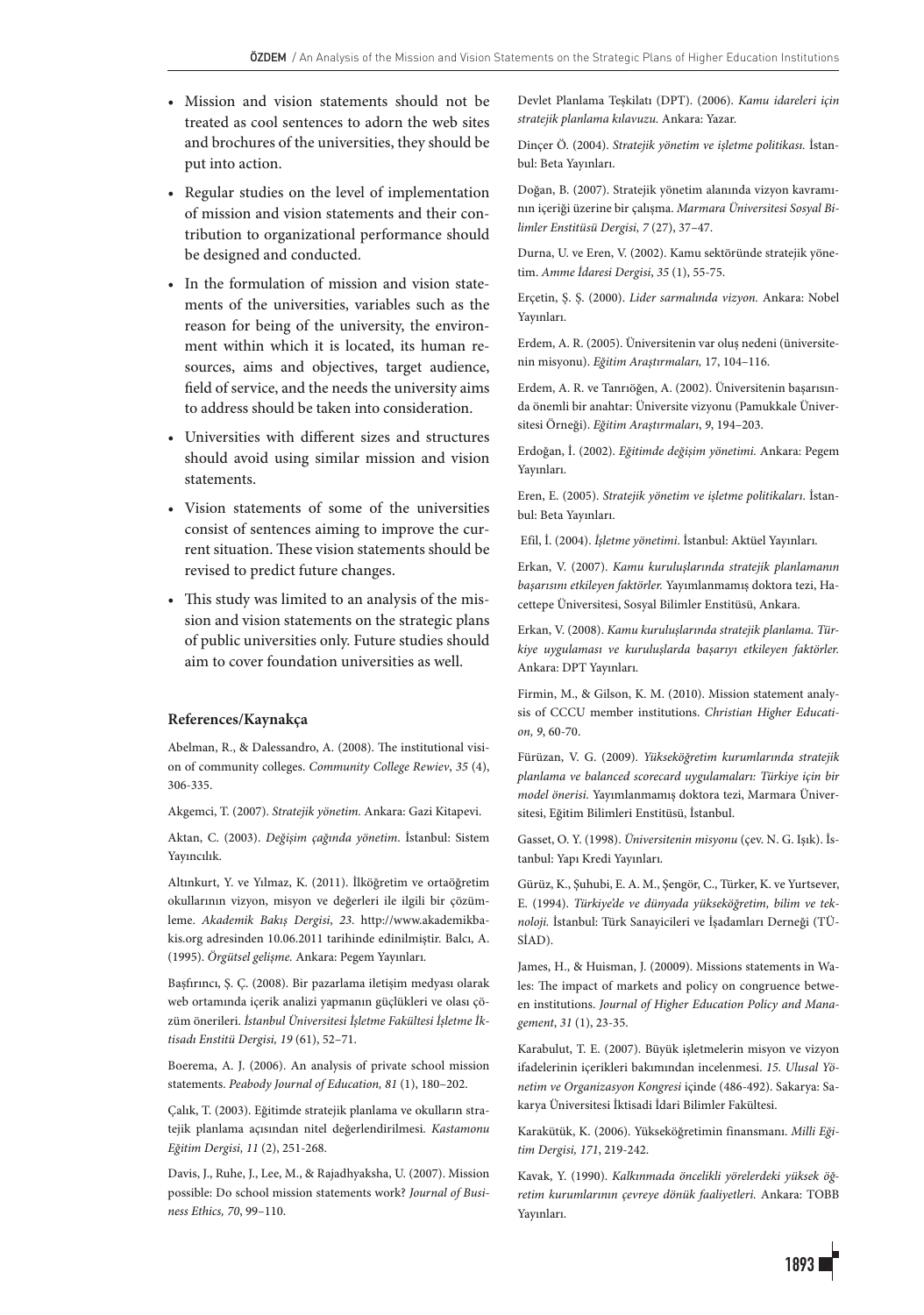- Mission and vision statements should not be treated as cool sentences to adorn the web sites and brochures of the universities, they should be put into action.
- Regular studies on the level of implementation of mission and vision statements and their contribution to organizational performance should be designed and conducted.
- In the formulation of mission and vision statements of the universities, variables such as the reason for being of the university, the environment within which it is located, its human resources, aims and objectives, target audience, field of service, and the needs the university aims to address should be taken into consideration.
- Universities with different sizes and structures should avoid using similar mission and vision statements.
- Vision statements of some of the universities consist of sentences aiming to improve the current situation. These vision statements should be revised to predict future changes.
- This study was limited to an analysis of the mission and vision statements on the strategic plans of public universities only. Future studies should aim to cover foundation universities as well.

## **References/Kaynakça**

Abelman, R., & Dalessandro, A. (2008). The institutional vision of community colleges. *Community College Rewiev*, *35* (4), 306-335.

Akgemci, T. (2007). *Stratejik yönetim.* Ankara: Gazi Kitapevi.

Aktan, C. (2003). *Değişim çağında yönetim*. İstanbul: Sistem Yayıncılık.

Altınkurt, Y. ve Yılmaz, K. (2011). İlköğretim ve ortaöğretim okullarının vizyon, misyon ve değerleri ile ilgili bir çözümleme. *Akademik Bakış Dergisi*, *23*. http://www.akademikbakis.org adresinden 10.06.2011 tarihinde edinilmiştir. Balcı, A. (1995). *Örgütsel gelişme.* Ankara: Pegem Yayınları.

Başfırıncı, Ş. Ç. (2008). Bir pazarlama iletişim medyası olarak web ortamında içerik analizi yapmanın güçlükleri ve olası çözüm önerileri. *İstanbul Üniversitesi İşletme Fakültesi İşletme İktisadı Enstitü Dergisi, 19* (61), 52–71.

Boerema, A. J. (2006). An analysis of private school mission statements. *Peabody Journal of Education, 81* (1), 180–202.

Çalık, T. (2003). Eğitimde stratejik planlama ve okulların stratejik planlama açısından nitel değerlendirilmesi. *Kastamonu Eğitim Dergisi, 11* (2), 251-268.

Davis, J., Ruhe, J., Lee, M., & Rajadhyaksha, U. (2007). Mission possible: Do school mission statements work? *Journal of Business Ethics, 70*, 99–110.

Devlet Planlama Teşkilatı (DPT). (2006). *Kamu idareleri için stratejik planlama kılavuzu.* Ankara: Yazar.

Dinçer Ö. (2004). *Stratejik yönetim ve işletme politikası.* İstanbul: Beta Yayınları.

Doğan, B. (2007). Stratejik yönetim alanında vizyon kavramının içeriği üzerine bir çalışma. *Marmara Üniversitesi Sosyal Bilimler Enstitüsü Dergisi, 7* (27), 37–47.

Durna, U. ve Eren, V. (2002). Kamu sektöründe stratejik yönetim. *Amme İdaresi Dergisi*, *35* (1), 55-75.

Erçetin, Ş. Ş. (2000). *Lider sarmalında vizyon.* Ankara: Nobel Yayınları.

Erdem, A. R. (2005). Üniversitenin var oluş nedeni (üniversitenin misyonu). *Eğitim Araştırmaları,* 17, 104–116.

Erdem, A. R. ve Tanrıöğen, A. (2002). Üniversitenin başarısında önemli bir anahtar: Üniversite vizyonu (Pamukkale Üniversitesi Örneği). *Eğitim Araştırmaları*, *9*, 194–203.

Erdoğan, İ. (2002). *Eğitimde değişim yönetimi.* Ankara: Pegem Yayınları.

Eren, E. (2005). *Stratejik yönetim ve işletme politikaları*. İstanbul: Beta Yayınları.

Efil, İ. (2004). *İşletme yönetimi*. İstanbul: Aktüel Yayınları.

Erkan, V. (2007). *Kamu kuruluşlarında stratejik planlamanın başarısını etkileyen faktörler.* Yayımlanmamış doktora tezi, Hacettepe Üniversitesi, Sosyal Bilimler Enstitüsü, Ankara.

Erkan, V. (2008). *Kamu kuruluşlarında stratejik planlama. Türkiye uygulaması ve kuruluşlarda başarıyı etkileyen faktörler.*  Ankara: DPT Yayınları.

Firmin, M., & Gilson, K. M. (2010). Mission statement analysis of CCCU member institutions. *Christian Higher Education, 9*, 60-70.

Fürüzan, V. G. (2009). *Yükseköğretim kurumlarında stratejik planlama ve balanced scorecard uygulamaları: Türkiye için bir model önerisi.* Yayımlanmamış doktora tezi, Marmara Üniversitesi, Eğitim Bilimleri Enstitüsü, İstanbul.

Gasset, O. Y. (1998). *Üniversitenin misyonu* (çev. N. G. Işık). İstanbul: Yapı Kredi Yayınları.

Gürüz, K., Şuhubi, E. A. M., Şengör, C., Türker, K. ve Yurtsever, E. (1994). *Türkiye'de ve dünyada yükseköğretim, bilim ve teknoloji.* İstanbul: Türk Sanayicileri ve İşadamları Derneği (TÜ-SİAD).

James, H., & Huisman, J. (20009). Missions statements in Wales: The impact of markets and policy on congruence between institutions. *Journal of Higher Education Policy and Management*, *31* (1), 23-35.

Karabulut, T. E. (2007). Büyük işletmelerin misyon ve vizyon ifadelerinin içerikleri bakımından incelenmesi. *15. Ulusal Yönetim ve Organizasyon Kongresi* içinde (486-492). Sakarya: Sakarya Üniversitesi İktisadi İdari Bilimler Fakültesi.

Karakütük, K. (2006). Yükseköğretimin finansmanı. *Milli Eğitim Dergisi, 171*, 219-242.

Kavak, Y. (1990). *Kalkınmada öncelikli yörelerdeki yüksek öğretim kurumlarının çevreye dönük faaliyetleri.* Ankara: TOBB Yayınları.